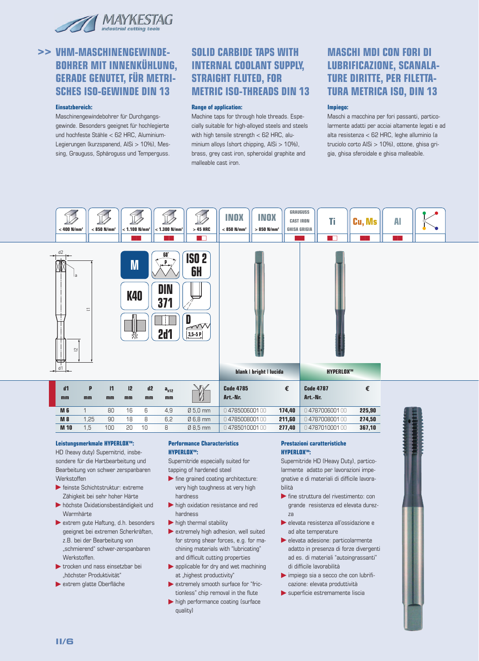

#### **Einsatzbereich:**

Maschinengewindebohrer für Durchgangsgewinde. Besonders geeignet für hochlegierte und hochfeste Stähle < 62 HRC, Aluminium-Legierungen (kurzspanend, AlSi > 10%), Messing, Grauguss, Sphäroguss und Temperguss.

### **SOLID CARBIDE TAPS WITH INTERNAL COOLANT SUPPLY, STRAIGHT FLUTED, FOR METRIC ISO-THREADS DIN 13**

#### **Range of application:**

Machine taps for through hole threads. Especially suitable for high-alloyed steels and steels with high tensile strength < 62 HRC, aluminium alloys (short chipping, AlSi > 10%), brass, grey cast iron, spheroidal graphite and malleable cast iron.

# **MASCHI MDI CON FORI DI LUBRIFICAZIONE, SCANALA-TURE DIRITTE, PER FILETTA-TURA METRICA ISO, DIN 13**

#### **Impiego:**

Maschi a macchina per fori passanti, particolarmente adatti per acciai altamente legati e ad alta resistenza < 62 HRC, leghe alluminio (a truciolo corto AlSi > 10%), ottone, ghisa grigia, ghisa sferoidale e ghisa malleabile.



0 478501000100

#### **Leistungsmerkmale HYPERLOXTM:**

1,5

**M 10**

HD (heavy duty) Supernitrid, insbesondere für die Hartbearbeitung und Bearbeitung von schwer zerspanbaren **Werkstoffen** 

 $100$ 

 $\overline{20}$ 

 $\overline{10}$ 

 $\overline{R}$ 

- feinste Schichtstruktur: extreme Zähigkeit bei sehr hoher Härte
- höchste Oxidationsbeständigkeit und **Warmhärte**
- extrem gute Haftung, d.h. besonders geeignet bei extremen Scherkräften, z.B. bei der Bearbeitung von "schmierend" schwer-zerspanbaren **Werkstoffen**
- trocken und nass einsetzbar bei "höchster Produktivität"
- extrem glatte Oberfläche

### **Performance Characteristics HYPERLOXTM:**

Ø 8,5 mm

Supernitride especially suited for tapping of hardened steel

- $\blacktriangleright$  fine grained coating architecture: very high toughness at very high hardness
- high oxidation resistance and red hardness
- $\blacktriangleright$  high thermal stability
- $\blacktriangleright$  extremely high adhesion, well suited for strong shear forces, e.g. for machining materials with "lubricating" and difficult cutting properties
- **applicable for dry and wet machining** at "highest productivity"
- extremely smooth surface for "frictionless" chip removal in the flute
- high performance coating (surface quality)

#### **Prestazioni caratteristiche HYPERLOXTM:**

**277,40**

Supernitride HD (Heavy Duty), particolarmente adatto per lavorazioni impegnative e di materiali di difficile lavorabilità

0 478701000100

**367,10**

- fine struttura del rivestimento: con grande resistenza ed elevata durezza
- elevata resistenza all'ossidazione e ad alte temperature
- elevata adesione: particolarmente adatto in presenza di forze divergenti ad es. di materiali "autoingrassanti" di difficile lavorabilità
- impiego sia a secco che con lubrificazione: elevata produttività
- superficie estremamente liscia

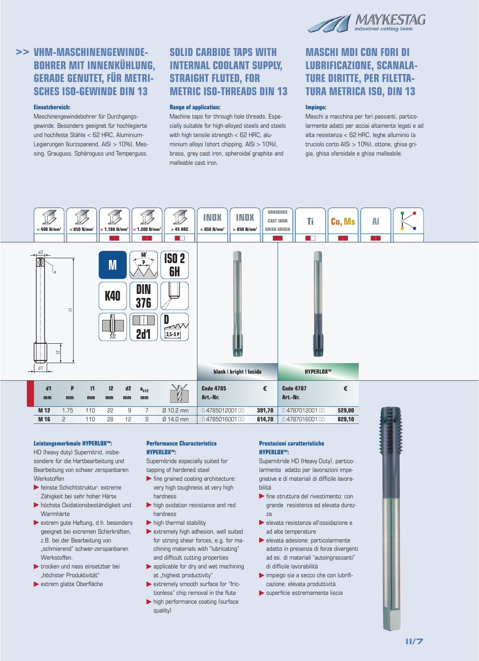

### **Einsatzbereich:**

Maschinengewindebohrer für Durchgangsgewinde. Besonders geeignet für hochlegierte und hochfeste Stähle < 62 HRC, Aluminium-Legierungen (kurzspanend, AlSi > 10%), Messing, Grauguss, Sphäroguss und Temperguss.

# **SOLID CARBIDE TAPS WITH INTERNAL COOLANT SUPPLY, STRAIGHT FLUTED, FOR METRIC ISO-THREADS DIN 13**

#### **Range of application:**

Machine taps for through hole threads. Especially suitable for high-alloyed steels and steels with high tensile strength < 62 HRC, aluminium alloys (short chipping, AlSi > 10%), brass, grey cast iron, spheroidal graphite and malleable cast iron.

# **MASCHI MDI CON FORI DI LUBRIFICAZIONE, SCANALA-TURE DIRITTE, PER FILETTA-TURA METRICA ISO, DIN 13**

### **Impiego:**

Maschi a macchina per fori passanti, particolarmente adatti per acciai altamente legati e ad alta resistenza < 62 HRC, leghe alluminio (a truciolo corto AlSi > 10%), ottone, ghisa grigia, ghisa sferoidale e ghisa malleabile.



#### **Leistungsmerkmale HYPERLOXTM:**

HD (heavy duty) Supernitrid, insbesondere für die Hartbearbeitung und Bearbeitung von schwer zerspanbaren **Werkstoffen** 

- feinste Schichtstruktur: extreme Zähigkeit bei sehr hoher Härte
- höchste Oxidationsbeständigkeit und **Warmhärte**
- extrem gute Haftung, d.h. besonders geeignet bei extremen Scherkräften, z.B. bei der Bearbeitung von "schmierend" schwer-zerspanbaren **Werkstoffen**
- trocken und nass einsetzbar bei "höchster Produktivität"
- extrem glatte Oberfläche

### **Performance Characteristics HYPERLOXTM:**

Supernitride especially suited for tapping of hardened steel

- $\blacktriangleright$  fine grained coating architecture: very high toughness at very high hardness
- high oxidation resistance and red hardness
- $\blacktriangleright$  high thermal stability
- $\blacktriangleright$  extremely high adhesion, well suited for strong shear forces, e.g. for machining materials with "lubricating" and difficult cutting properties
- **applicable for dry and wet machining** at "highest productivity"
- extremely smooth surface for "frictionless" chip removal in the flute
- high performance coating (surface quality)

### **Prestazioni caratteristiche HYPERLOXTM:**

Supernitride HD (Heavy Duty), particolarmente adatto per lavorazioni impegnative e di materiali di difficile lavorabilità

- fine struttura del rivestimento: con grande resistenza ed elevata durezza
- elevata resistenza all'ossidazione e ad alte temperature
- elevata adesione: particolarmente adatto in presenza di forze divergenti ad es. di materiali "autoingrassanti" di difficile lavorabilità
- impiego sia a secco che con lubrificazione: elevata produttività
- superficie estremamente liscia

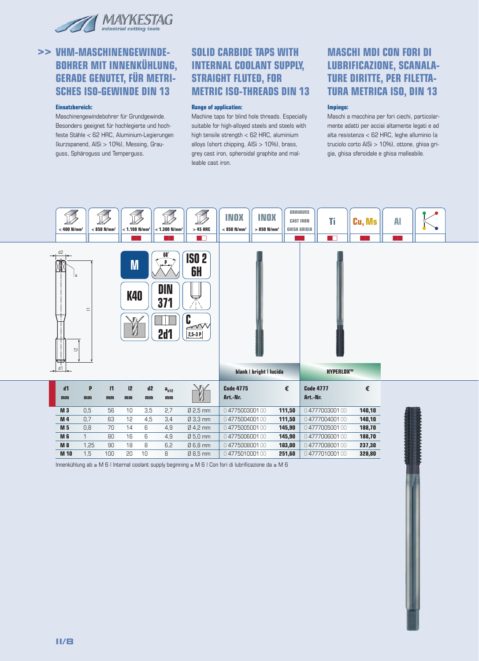

#### **Einsatzbereich:**

Maschinengewindebohrer für Grundgewinde. Besonders geeignet für hochlegierte und hochfeste Stähle < 62 HRC, Aluminium-Legierungen (kurzspanend, AlSi > 10%), Messing, Grauguss, Sphäroguss und Temperguss.

### **SOLID CARBIDE TAPS WITH INTERNAL COOLANT SUPPLY, STRAIGHT FLUTED, FOR METRIC ISO-THREADS DIN 13**

#### **Range of application:**

Machine taps for blind hole threads. Especially suitable for high-alloyed steels and steels with high tensile strength < 62 HRC, aluminium alloys (short chipping, AlSi > 10%), brass, grey cast iron, spheroidal graphite and malleable cast iron.

# **MASCHI MDI CON FORI DI LUBRIFICAZIONE, SCANALA-TURE DIRITTE, PER FILETTA-TURA METRICA ISO, DIN 13**

#### **Impiego:**

Maschi a macchina per fori ciechi, particolarmente adatti per acciai altamente legati e ad alta resistenza < 62 HRC, leghe alluminio (a truciolo corto AlSi > 10%), ottone, ghisa grigia, ghisa sferoidale e ghisa malleabile.



Innenkühlung ab ≥ M 6 | Internal coolant supply beginning ≥ M 6 | Con fori di lubrificazione da ≥ M 6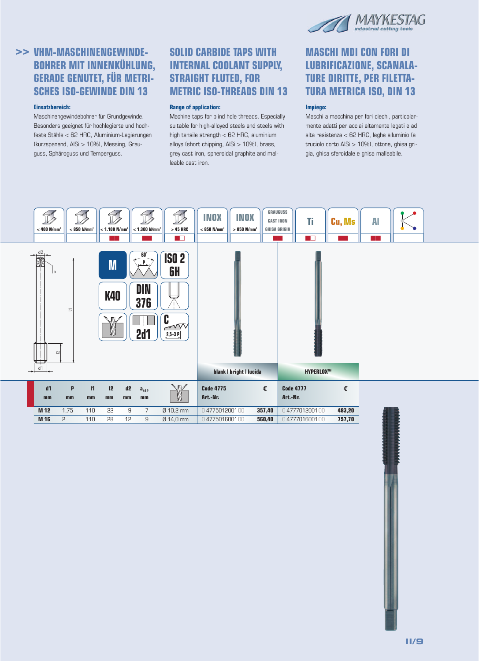

### **Einsatzbereich:**

Maschinengewindebohrer für Grundgewinde. Besonders geeignet für hochlegierte und hochfeste Stähle < 62 HRC, Aluminium-Legierungen (kurzspanend, AlSi > 10%), Messing, Grauguss, Sphäroguss und Temperguss.

# **SOLID CARBIDE TAPS WITH INTERNAL COOLANT SUPPLY, STRAIGHT FLUTED, FOR METRIC ISO-THREADS DIN 13**

#### **Range of application:**

Machine taps for blind hole threads. Especially suitable for high-alloyed steels and steels with high tensile strength < 62 HRC, aluminium alloys (short chipping, AlSi > 10%), brass, grey cast iron, spheroidal graphite and malleable cast iron.

# **MASCHI MDI CON FORI DI LUBRIFICAZIONE, SCANALA-TURE DIRITTE, PER FILETTA-TURA METRICA ISO, DIN 13**

#### **Impiego:**

Maschi a macchina per fori ciechi, particolarmente adatti per acciai altamente legati e ad alta resistenza < 62 HRC, leghe alluminio (a truciolo corto AlSi > 10%), ottone, ghisa grigia, ghisa sferoidale e ghisa malleabile.

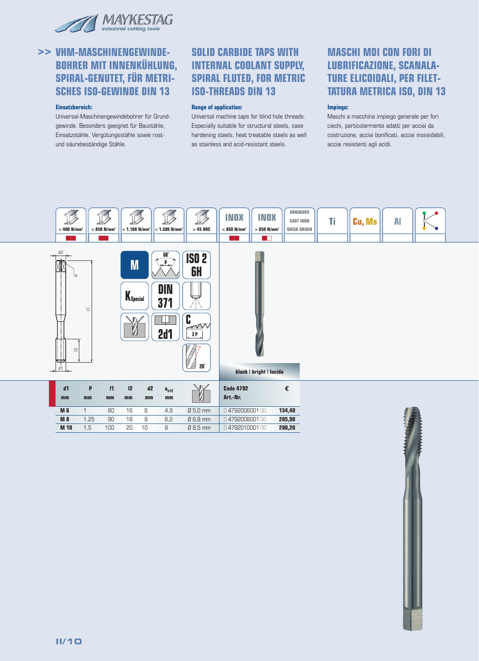

#### **Einsatzbereich:**

Universal-Maschinengewindebohrer für Grundgewinde. Besonders geeignet für Baustähle, Einsatzstähle, Vergütungsstähle sowie rostund säurebeständige Stähle.

### **SOLID CARBIDE TAPS WITH INTERNAL COOLANT SUPPLY, SPIRAL FLUTED, FOR METRIC ISO-THREADS DIN 13**

#### **Range of application:**

Universal machine taps for blind hole threads. Especially suitable for structural steels, case hardening steels, heat treatable steels as well as stainless and acid-resistant steels.

# **MASCHI MDI CON FORI DI LUBRIFICAZIONE, SCANALA-TURE ELICOIDALI, PER FILET-TATURA METRICA ISO, DIN 13**

#### **Impiego:**

Maschi a macchina impiego generale per fori ciechi, particolarmente adatti per acciai da costruzione, acciai bonificati, acciai inossidabili, acciai resistenti agli acidi.

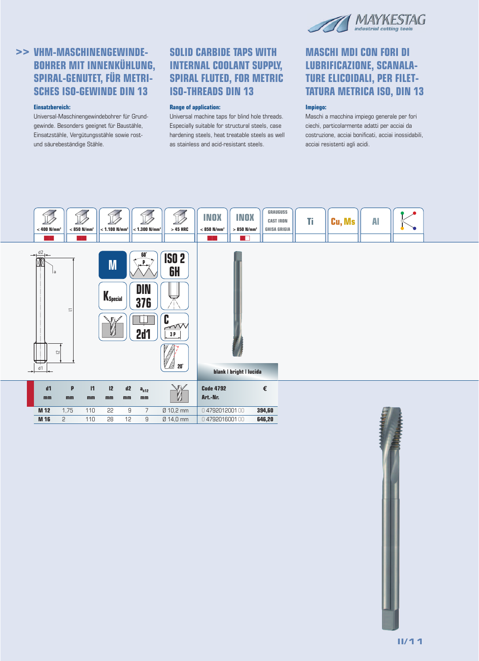

### **Einsatzbereich:**

Universal-Maschinengewindebohrer für Grundgewinde. Besonders geeignet für Baustähle, Einsatzstähle, Vergütungsstähle sowie rostund säurebeständige Stähle.

# **SOLID CARBIDE TAPS WITH INTERNAL COOLANT SUPPLY, SPIRAL FLUTED, FOR METRIC ISO-THREADS DIN 13**

#### **Range of application:**

Universal machine taps for blind hole threads. Especially suitable for structural steels, case hardening steels, heat treatable steels as well as stainless and acid-resistant steels.

# **MASCHI MDI CON FORI DI LUBRIFICAZIONE, SCANALA-TURE ELICOIDALI, PER FILET-TATURA METRICA ISO, DIN 13**

### **Impiego:**

Maschi a macchina impiego generale per fori ciechi, particolarmente adatti per acciai da costruzione, acciai bonificati, acciai inossidabili, acciai resistenti agli acidi.